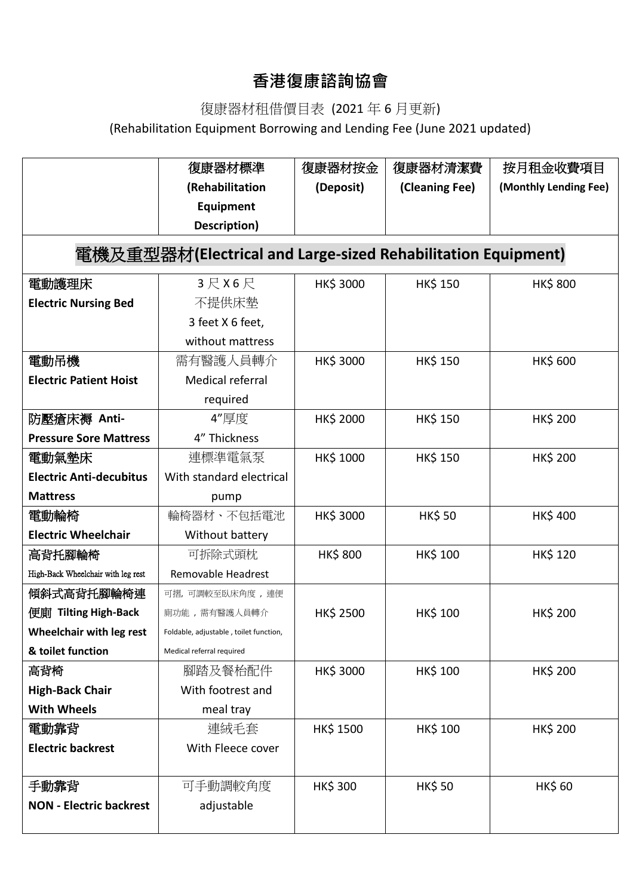## **香港復康諮詢協會**

## 復康器材租借價目表 (2021 年 6 月更新)

(Rehabilitation Equipment Borrowing and Lending Fee (June 2021 updated)

|                                                              | 復康器材標準                                 | 復康器材按金           | 復康器材清潔費         | 按月租金收費項目              |  |  |
|--------------------------------------------------------------|----------------------------------------|------------------|-----------------|-----------------------|--|--|
|                                                              | (Rehabilitation                        | (Deposit)        | (Cleaning Fee)  | (Monthly Lending Fee) |  |  |
|                                                              | Equipment                              |                  |                 |                       |  |  |
|                                                              | Description)                           |                  |                 |                       |  |  |
| 電機及重型器材(Electrical and Large-sized Rehabilitation Equipment) |                                        |                  |                 |                       |  |  |
| 電動護理床                                                        | 3 尺 X 6 尺                              | HK\$ 3000        | <b>HK\$ 150</b> | <b>HK\$800</b>        |  |  |
| <b>Electric Nursing Bed</b>                                  | 不提供床墊                                  |                  |                 |                       |  |  |
|                                                              | 3 feet X 6 feet,                       |                  |                 |                       |  |  |
|                                                              | without mattress                       |                  |                 |                       |  |  |
| 電動吊機                                                         | 需有醫護人員轉介                               | HK\$ 3000        | <b>HK\$ 150</b> | <b>HK\$ 600</b>       |  |  |
| <b>Electric Patient Hoist</b>                                | <b>Medical referral</b>                |                  |                 |                       |  |  |
|                                                              | required                               |                  |                 |                       |  |  |
| 防壓瘡床褥 Anti-                                                  | 4"厚度                                   | HK\$ 2000        | <b>HK\$ 150</b> | <b>HK\$ 200</b>       |  |  |
| <b>Pressure Sore Mattress</b>                                | 4" Thickness                           |                  |                 |                       |  |  |
| 電動氣墊床                                                        | 連標準電氣泵                                 | HK\$ 1000        | <b>HK\$ 150</b> | <b>HK\$ 200</b>       |  |  |
| <b>Electric Anti-decubitus</b>                               | With standard electrical               |                  |                 |                       |  |  |
| <b>Mattress</b>                                              | pump                                   |                  |                 |                       |  |  |
| 電動輪椅                                                         | 輪椅器材、不包括電池                             | HK\$ 3000        | <b>HK\$50</b>   | <b>HK\$400</b>        |  |  |
| <b>Electric Wheelchair</b>                                   | Without battery                        |                  |                 |                       |  |  |
| 高背托腳輪椅                                                       | 可拆除式頭枕                                 | <b>HK\$800</b>   | <b>HK\$ 100</b> | <b>HK\$ 120</b>       |  |  |
| High-Back Wheelchair with leg rest                           | Removable Headrest                     |                  |                 |                       |  |  |
| 傾斜式高背托腳輪椅連                                                   | 可摺,可調較至臥床角度,連便                         |                  |                 |                       |  |  |
| 便廁 Tilting High-Back                                         | 廁功能,需有醫護人員轉介                           | HK\$ 2500        | <b>HK\$ 100</b> | <b>HK\$ 200</b>       |  |  |
| Wheelchair with leg rest                                     | Foldable, adjustable, toilet function, |                  |                 |                       |  |  |
| & toilet function                                            | Medical referral required              |                  |                 |                       |  |  |
| 高背椅                                                          | 腳踏及餐枱配件                                | HK\$ 3000        | HK\$ 100        | HK\$ 200              |  |  |
| <b>High-Back Chair</b>                                       | With footrest and                      |                  |                 |                       |  |  |
| <b>With Wheels</b>                                           | meal tray                              |                  |                 |                       |  |  |
| 電動靠背                                                         | 連絨毛套                                   | <b>HK\$ 1500</b> | <b>HK\$ 100</b> | <b>HK\$ 200</b>       |  |  |
| <b>Electric backrest</b>                                     | With Fleece cover                      |                  |                 |                       |  |  |
|                                                              |                                        |                  |                 |                       |  |  |
| 手動靠背                                                         | 可手動調較角度                                | <b>HK\$ 300</b>  | <b>HK\$50</b>   | <b>HK\$ 60</b>        |  |  |
| <b>NON - Electric backrest</b>                               | adjustable                             |                  |                 |                       |  |  |
|                                                              |                                        |                  |                 |                       |  |  |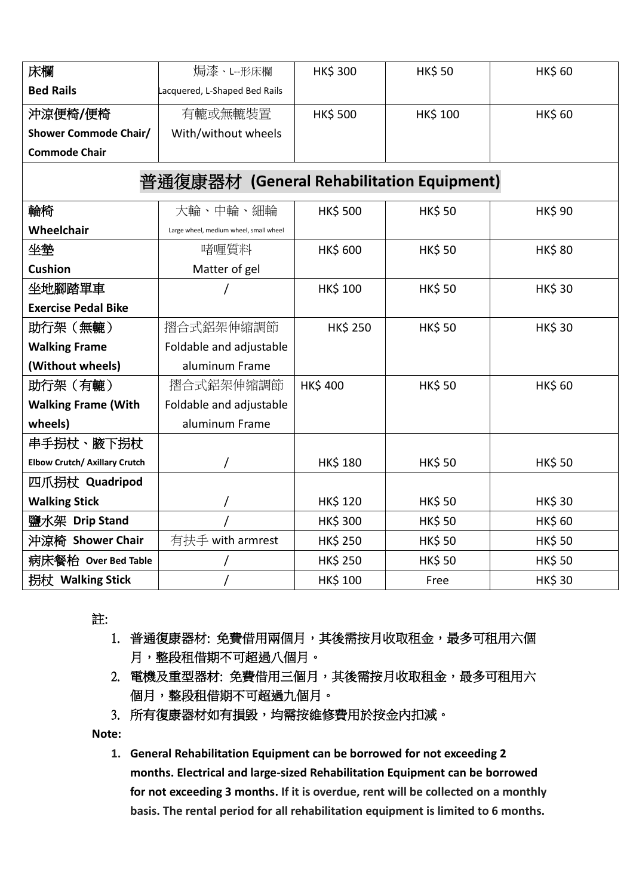| 床欄                                        | 焗漆、L-形床欄                               | <b>HK\$ 300</b> | <b>HK\$50</b>   | <b>HK\$ 60</b> |  |  |
|-------------------------------------------|----------------------------------------|-----------------|-----------------|----------------|--|--|
| <b>Bed Rails</b>                          | Lacquered, L-Shaped Bed Rails          |                 |                 |                |  |  |
| 沖涼便椅/便椅                                   | 有轆或無轆裝置                                | <b>HK\$ 500</b> | <b>HK\$ 100</b> | <b>HK\$ 60</b> |  |  |
| <b>Shower Commode Chair/</b>              | With/without wheels                    |                 |                 |                |  |  |
| <b>Commode Chair</b>                      |                                        |                 |                 |                |  |  |
| 普通復康器材 (General Rehabilitation Equipment) |                                        |                 |                 |                |  |  |
| 輪椅                                        | 大輪、中輪、細輪                               | <b>HK\$ 500</b> | <b>HK\$50</b>   | <b>HK\$ 90</b> |  |  |
| Wheelchair                                | Large wheel, medium wheel, small wheel |                 |                 |                |  |  |
| 坐墊                                        | 啫喱質料                                   | <b>HK\$ 600</b> | <b>HK\$50</b>   | <b>HK\$80</b>  |  |  |
| <b>Cushion</b>                            | Matter of gel                          |                 |                 |                |  |  |
| 坐地腳踏單車                                    |                                        | <b>HK\$ 100</b> | <b>HK\$50</b>   | <b>HK\$30</b>  |  |  |
| <b>Exercise Pedal Bike</b>                |                                        |                 |                 |                |  |  |
| 助行架(無轆)                                   | 摺合式鋁架伸縮調節                              | <b>HK\$ 250</b> | <b>HK\$50</b>   | <b>HK\$30</b>  |  |  |
| <b>Walking Frame</b>                      | Foldable and adjustable                |                 |                 |                |  |  |
| (Without wheels)                          | aluminum Frame                         |                 |                 |                |  |  |
| 助行架(有轆)                                   | 摺合式鋁架伸縮調節                              | <b>HK\$400</b>  | <b>HK\$50</b>   | <b>HK\$ 60</b> |  |  |
| <b>Walking Frame (With</b>                | Foldable and adjustable                |                 |                 |                |  |  |
| wheels)                                   | aluminum Frame                         |                 |                 |                |  |  |
| 串手拐杖、腋下拐杖                                 |                                        |                 |                 |                |  |  |
| <b>Elbow Crutch/ Axillary Crutch</b>      |                                        | <b>HK\$ 180</b> | <b>HK\$50</b>   | <b>HK\$50</b>  |  |  |
| 四爪拐杖 Quadripod                            |                                        |                 |                 |                |  |  |
| <b>Walking Stick</b>                      |                                        | <b>HK\$ 120</b> | <b>HK\$50</b>   | <b>HK\$30</b>  |  |  |
| 鹽水架 Drip Stand                            |                                        | <b>HK\$ 300</b> | <b>HK\$50</b>   | <b>HK\$ 60</b> |  |  |
| 沖涼椅 Shower Chair                          | 有扶手 with armrest                       | <b>HK\$ 250</b> | <b>HK\$50</b>   | <b>HK\$50</b>  |  |  |
| 病床餐枱 Over Bed Table                       |                                        | <b>HK\$ 250</b> | <b>HK\$50</b>   | <b>HK\$50</b>  |  |  |
| 拐杖 Walking Stick                          |                                        | HK\$ 100        | Free            | <b>HK\$30</b>  |  |  |

註:

- 1. 普通復康器材: 免費借用兩個月, 其後需按月收取租金, 最多可租用六個 月,整段租借期不可超過八個月。
- 2. 電機及重型器材: 免費借用三個月, 其後需按月收取租金, 最多可租用六 個月,整段租借期不可超過九個月。
- 3. 所有復康器材如有損毀,均需按維修費用於按金內扣減。

**Note:** 

**1. General Rehabilitation Equipment can be borrowed for not exceeding 2 months. Electrical and large-sized Rehabilitation Equipment can be borrowed for not exceeding 3 months. If it is overdue, rent will be collected on a monthly basis. The rental period for all rehabilitation equipment is limited to 6 months.**